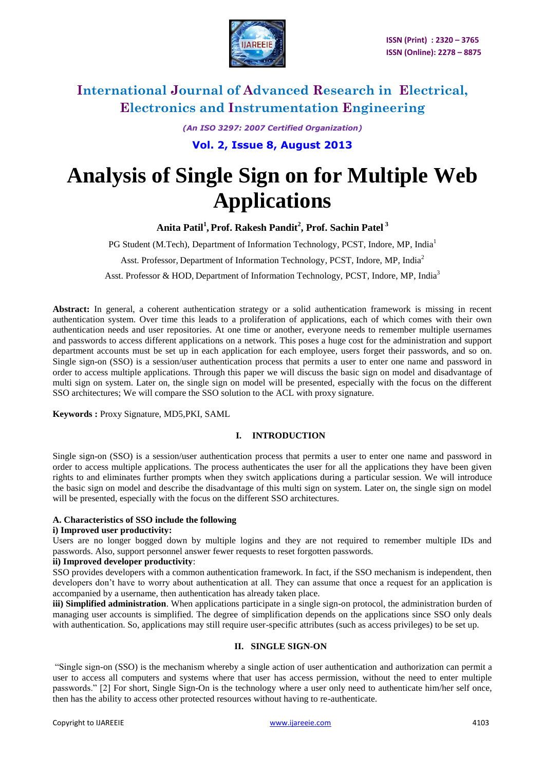

*(An ISO 3297: 2007 Certified Organization)*

**Vol. 2, Issue 8, August 2013**

# **Analysis of Single Sign on for Multiple Web Applications**

**Anita Patil<sup>1</sup> , Prof. Rakesh Pandit<sup>2</sup> , Prof. Sachin Patel <sup>3</sup>**

PG Student (M.Tech), Department of Information Technology, PCST, Indore, MP, India<sup>1</sup>

Asst. Professor, Department of Information Technology, PCST, Indore, MP, India<sup>2</sup>

Asst. Professor & HOD, Department of Information Technology, PCST, Indore, MP, India<sup>3</sup>

**Abstract:** In general, a coherent authentication strategy or a solid authentication framework is missing in recent authentication system. Over time this leads to a proliferation of applications, each of which comes with their own authentication needs and user repositories. At one time or another, everyone needs to remember multiple usernames and passwords to access different applications on a network. This poses a huge cost for the administration and support department accounts must be set up in each application for each employee, users forget their passwords, and so on. Single sign-on (SSO) is a [session/](http://searchsoa.techtarget.com/definition/session)user [authentication](http://searchsecurity.techtarget.com/definition/authentication) process that permits a user to enter one name and password in order to access multiple applications. Through this paper we will discuss the basic sign on model and disadvantage of multi sign on system. Later on, the single sign on model will be presented, especially with the focus on the different SSO architectures; We will compare the SSO solution to the ACL with proxy signature.

**Keywords :** Proxy Signature, MD5,PKI, SAML

#### **I. INTRODUCTION**

Single sign-on (SSO) is a [session/](http://searchsoa.techtarget.com/definition/session)user [authentication](http://searchsecurity.techtarget.com/definition/authentication) process that permits a user to enter one name and password in order to access multiple applications. The process authenticates the user for all the applications they have been given rights to and eliminates further prompts when they switch applications during a particular session. We will introduce the basic sign on model and describe the disadvantage of this multi sign on system. Later on, the single sign on model will be presented, especially with the focus on the different SSO architectures.

#### **A. Characteristics of SSO include the following**

#### **i) Improved user productivity:**

Users are no longer bogged down by multiple logins and they are not required to remember multiple IDs and passwords. Also, support personnel answer fewer requests to reset forgotten passwords.

#### **ii) Improved developer productivity**:

SSO provides developers with a common authentication framework. In fact, if the SSO mechanism is independent, then developers don't have to worry about authentication at all. They can assume that once a request for an application is accompanied by a username, then authentication has already taken place.

**iii) Simplified administration**. When applications participate in a single sign-on protocol, the administration burden of managing user accounts is simplified. The degree of simplification depends on the applications since SSO only deals with authentication. So, applications may still require user-specific attributes (such as access privileges) to be set up.

#### **II. SINGLE SIGN-ON**

"Single sign-on (SSO) is the mechanism whereby a single action of user authentication and authorization can permit a user to access all computers and systems where that user has access permission, without the need to enter multiple passwords." [2] For short, Single Sign-On is the technology where a user only need to authenticate him/her self once, then has the ability to access other protected resources without having to re-authenticate.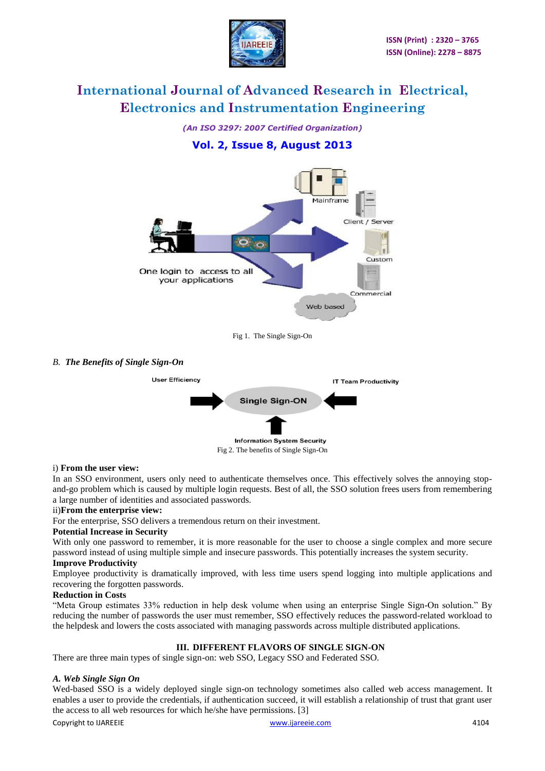

*(An ISO 3297: 2007 Certified Organization)*

### **Vol. 2, Issue 8, August 2013**



Fig 1. The Single Sign-On

#### *B. The Benefits of Single Sign-On*



#### i) **From the user view:**

In an SSO environment, users only need to authenticate themselves once. This effectively solves the annoying stopand-go problem which is caused by multiple login requests. Best of all, the SSO solution frees users from remembering a large number of identities and associated passwords.

#### ii)**From the enterprise view:**

For the enterprise, SSO delivers a tremendous return on their investment.

#### **Potential Increase in Security**

With only one password to remember, it is more reasonable for the user to choose a single complex and more secure password instead of using multiple simple and insecure passwords. This potentially increases the system security.

#### **Improve Productivity**

Employee productivity is dramatically improved, with less time users spend logging into multiple applications and recovering the forgotten passwords.

#### **Reduction in Costs**

"Meta Group estimates 33% reduction in help desk volume when using an enterprise Single Sign-On solution." By reducing the number of passwords the user must remember, SSO effectively reduces the password-related workload to the helpdesk and lowers the costs associated with managing passwords across multiple distributed applications.

### **III. DIFFERENT FLAVORS OF SINGLE SIGN-ON**

There are three main types of single sign-on: web SSO, Legacy SSO and Federated SSO.

#### *A. Web Single Sign On*

Wed-based SSO is a widely deployed single sign-on technology sometimes also called web access management. It enables a user to provide the credentials, if authentication succeed, it will establish a relationship of trust that grant user the access to all web resources for which he/she have permissions. [3]

Copyright to IJAREEIE [www.ijareeie.com](http://www.ijareeie.com/) 4104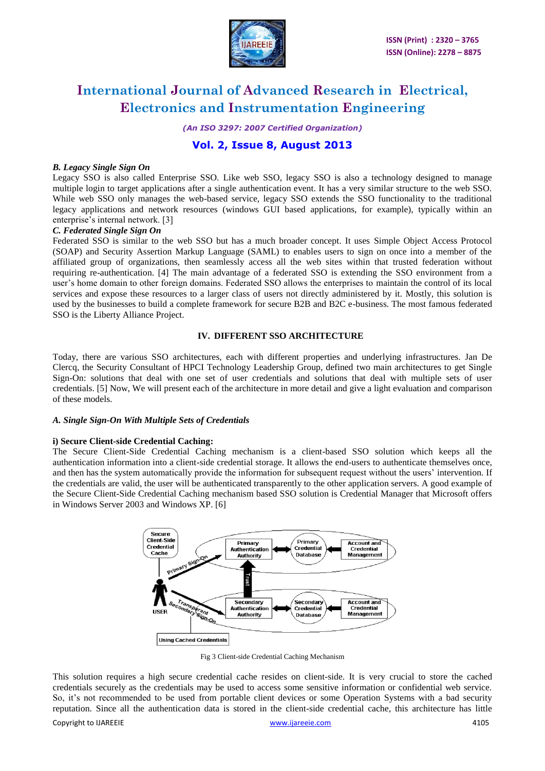

*(An ISO 3297: 2007 Certified Organization)*

### **Vol. 2, Issue 8, August 2013**

#### *B. Legacy Single Sign On*

Legacy SSO is also called Enterprise SSO. Like web SSO, legacy SSO is also a technology designed to manage multiple login to target applications after a single authentication event. It has a very similar structure to the web SSO. While web SSO only manages the web-based service, legacy SSO extends the SSO functionality to the traditional legacy applications and network resources (windows GUI based applications, for example), typically within an enterprise's internal network. [3]

#### *C. Federated Single Sign On*

Federated SSO is similar to the web SSO but has a much broader concept. It uses Simple Object Access Protocol (SOAP) and Security Assertion Markup Language (SAML) to enables users to sign on once into a member of the affiliated group of organizations, then seamlessly access all the web sites within that trusted federation without requiring re-authentication. [4] The main advantage of a federated SSO is extending the SSO environment from a user"s home domain to other foreign domains. Federated SSO allows the enterprises to maintain the control of its local services and expose these resources to a larger class of users not directly administered by it. Mostly, this solution is used by the businesses to build a complete framework for secure B2B and B2C e-business. The most famous federated SSO is the Liberty Alliance Project.

#### **IV. DIFFERENT SSO ARCHITECTURE**

Today, there are various SSO architectures, each with different properties and underlying infrastructures. Jan De Clercq, the Security Consultant of HPCI Technology Leadership Group, defined two main architectures to get Single Sign-On: solutions that deal with one set of user credentials and solutions that deal with multiple sets of user credentials. [5] Now, We will present each of the architecture in more detail and give a light evaluation and comparison of these models.

#### *A. Single Sign-On With Multiple Sets of Credentials*

#### **i) Secure Client-side Credential Caching:**

The Secure Client-Side Credential Caching mechanism is a client-based SSO solution which keeps all the authentication information into a client-side credential storage. It allows the end-users to authenticate themselves once, and then has the system automatically provide the information for subsequent request without the users' intervention. If the credentials are valid, the user will be authenticated transparently to the other application servers. A good example of the Secure Client-Side Credential Caching mechanism based SSO solution is Credential Manager that Microsoft offers in Windows Server 2003 and Windows XP. [6]



Fig 3 Client-side Credential Caching Mechanism

Copyright to IJAREEIE [www.ijareeie.com](http://www.ijareeie.com/) 4105 This solution requires a high secure credential cache resides on client-side. It is very crucial to store the cached credentials securely as the credentials may be used to access some sensitive information or confidential web service. So, it's not recommended to be used from portable client devices or some Operation Systems with a bad security reputation. Since all the authentication data is stored in the client-side credential cache, this architecture has little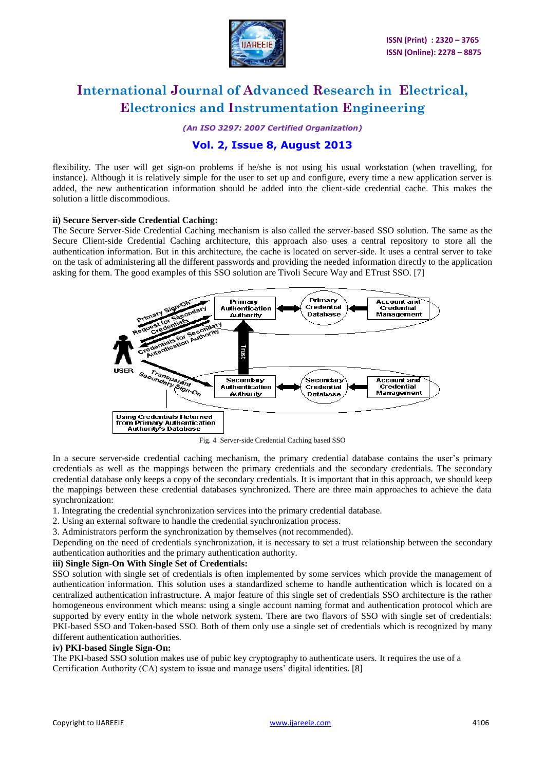

*(An ISO 3297: 2007 Certified Organization)*

### **Vol. 2, Issue 8, August 2013**

flexibility. The user will get sign-on problems if he/she is not using his usual workstation (when travelling, for instance). Although it is relatively simple for the user to set up and configure, every time a new application server is added, the new authentication information should be added into the client-side credential cache. This makes the solution a little discommodious.

#### **ii) Secure Server-side Credential Caching:**

The Secure Server-Side Credential Caching mechanism is also called the server-based SSO solution. The same as the Secure Client-side Credential Caching architecture, this approach also uses a central repository to store all the authentication information. But in this architecture, the cache is located on server-side. It uses a central server to take on the task of administering all the different passwords and providing the needed information directly to the application asking for them. The good examples of this SSO solution are Tivoli Secure Way and ETrust SSO. [7]



Fig. 4 Server-side Credential Caching based SSO

In a secure server-side credential caching mechanism, the primary credential database contains the user"s primary credentials as well as the mappings between the primary credentials and the secondary credentials. The secondary credential database only keeps a copy of the secondary credentials. It is important that in this approach, we should keep the mappings between these credential databases synchronized. There are three main approaches to achieve the data synchronization:

- 1. Integrating the credential synchronization services into the primary credential database.
- 2. Using an external software to handle the credential synchronization process.
- 3. Administrators perform the synchronization by themselves (not recommended).

Depending on the need of credentials synchronization, it is necessary to set a trust relationship between the secondary authentication authorities and the primary authentication authority.

#### **iii) Single Sign-On With Single Set of Credentials:**

SSO solution with single set of credentials is often implemented by some services which provide the management of authentication information. This solution uses a standardized scheme to handle authentication which is located on a centralized authentication infrastructure. A major feature of this single set of credentials SSO architecture is the rather homogeneous environment which means: using a single account naming format and authentication protocol which are supported by every entity in the whole network system. There are two flavors of SSO with single set of credentials: PKI-based SSO and Token-based SSO. Both of them only use a single set of credentials which is recognized by many different authentication authorities.

#### **iv) PKI-based Single Sign-On:**

The PKI-based SSO solution makes use of pubic key cryptography to authenticate users. It requires the use of a Certification Authority  $(CA)$  system to issue and manage users' digital identities. [8]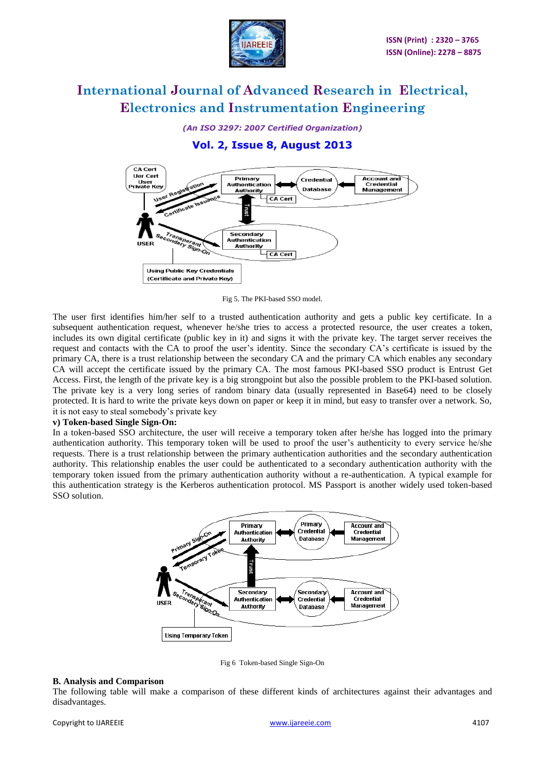

*(An ISO 3297: 2007 Certified Organization)*

### **Vol. 2, Issue 8, August 2013**



Fig 5. The PKI-based SSO model.

The user first identifies him/her self to a trusted authentication authority and gets a public key certificate. In a subsequent authentication request, whenever he/she tries to access a protected resource, the user creates a token, includes its own digital certificate (public key in it) and signs it with the private key. The target server receives the request and contacts with the CA to proof the user"s identity. Since the secondary CA"s certificate is issued by the primary CA, there is a trust relationship between the secondary CA and the primary CA which enables any secondary CA will accept the certificate issued by the primary CA. The most famous PKI-based SSO product is Entrust Get Access. First, the length of the private key is a big strongpoint but also the possible problem to the PKI-based solution. The private key is a very long series of random binary data (usually represented in Base64) need to be closely protected. It is hard to write the private keys down on paper or keep it in mind, but easy to transfer over a network. So, it is not easy to steal somebody"s private key

#### **v) Token-based Single Sign-On:**

In a token-based SSO architecture, the user will receive a temporary token after he/she has logged into the primary authentication authority. This temporary token will be used to proof the user"s authenticity to every service he/she requests. There is a trust relationship between the primary authentication authorities and the secondary authentication authority. This relationship enables the user could be authenticated to a secondary authentication authority with the temporary token issued from the primary authentication authority without a re-authentication. A typical example for this authentication strategy is the Kerberos authentication protocol. MS Passport is another widely used token-based SSO solution.



Fig 6 Token-based Single Sign-On

#### **B. Analysis and Comparison**

The following table will make a comparison of these different kinds of architectures against their advantages and disadvantages.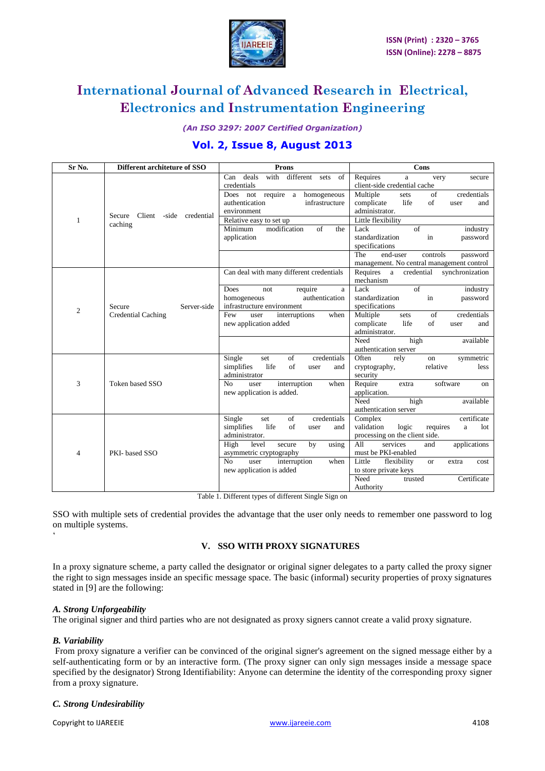

*(An ISO 3297: 2007 Certified Organization)*

### **Vol. 2, Issue 8, August 2013**

| Sr No.         | Different architeture of SSO                       | <b>Prons</b>                                                                                                                                                                                                                             | Cons                                                                                                                                                                                                                                                                                                                            |
|----------------|----------------------------------------------------|------------------------------------------------------------------------------------------------------------------------------------------------------------------------------------------------------------------------------------------|---------------------------------------------------------------------------------------------------------------------------------------------------------------------------------------------------------------------------------------------------------------------------------------------------------------------------------|
| $\mathbf{1}$   | Client<br>-side<br>credential<br>Secure<br>caching | with<br>deals<br>different<br>of<br>Can<br>sets<br>credentials<br>Does not require a<br>homogeneous<br>authentication<br>infrastructure<br>environment<br>Relative easy to set up<br>modification<br>Minimum<br>of<br>the<br>application | Requires<br>very<br>a<br>secure<br>client-side credential cache<br>Multiple<br>of<br>credentials<br>sets<br>life<br>of<br>complicate<br>and<br>user<br>administrator.<br>Little flexibility<br>$\sigma$ f<br>Lack<br>industry<br>standardization<br>in<br>password<br>specifications<br>The<br>end-user<br>controls<br>password |
|                |                                                    | Can deal with many different credentials                                                                                                                                                                                                 | management. No central management control<br>Requires a<br>credential<br>synchronization                                                                                                                                                                                                                                        |
| $\overline{2}$ | Server-side<br>Secure<br>Credential Caching        | Does<br>require<br>not<br>a<br>authentication<br>homogeneous<br>infrastructure environment<br>interruptions<br>when<br>Few<br>user<br>new application added                                                                              | mechanism<br>$\overline{of}$<br>Lack<br>industry<br>standardization<br>in<br>password<br>specifications<br>Multiple<br>of<br>credentials<br>sets<br>of<br>life<br>complicate<br>user<br>and<br>administrator.<br>available<br>Need<br>high                                                                                      |
|                |                                                    | Single<br>of<br>credentials<br>set<br>of<br>simplifies<br>life<br>and<br>user                                                                                                                                                            | authentication server<br>Often<br>rely<br>symmetric<br>on<br>relative<br>cryptography,<br>less                                                                                                                                                                                                                                  |
| 3              | Token based SSO                                    | administrator<br>No<br>interruption<br>user<br>when<br>new application is added.                                                                                                                                                         | security<br>Require<br>software<br>extra<br>on<br>application.<br>Need<br>high<br>available<br>authentication server                                                                                                                                                                                                            |
| 4              | PKI-based SSO                                      | Single<br>of<br>credentials<br>set<br>life<br>of<br>simplifies<br>user<br>and<br>administrator.<br>High<br>level<br>secure<br>by<br>using<br>asymmetric cryptography<br>No<br>user<br>interruption<br>when<br>new application is added   | certificate<br>Complex<br>validation<br>logic<br>requires<br>lot<br>a<br>processing on the client side.<br>A11<br>services<br>applications<br>and<br>must be PKI-enabled<br>Little<br>flexibility<br>$\alpha$<br>extra<br>cost<br>to store private keys                                                                         |
|                | $T = 11 + T$                                       | $c + c$<br>$\overline{a}$ $\overline{a}$ $\overline{a}$                                                                                                                                                                                  | Need<br>Certificate<br>trusted<br>Authority                                                                                                                                                                                                                                                                                     |

Table 1. Different types of different Single Sign on

SSO with multiple sets of credential provides the advantage that the user only needs to remember one password to log on multiple systems.

#### **V. SSO WITH PROXY SIGNATURES**

In a proxy signature scheme, a party called the designator or original signer delegates to a party called the proxy signer the right to sign messages inside an specific message space. The basic (informal) security properties of proxy signatures stated in [9] are the following:

#### *A. Strong Unforgeability*

The original signer and third parties who are not designated as proxy signers cannot create a valid proxy signature.

#### *B. Variability*

"

From proxy signature a verifier can be convinced of the original signer's agreement on the signed message either by a self-authenticating form or by an interactive form. (The proxy signer can only sign messages inside a message space specified by the designator) Strong Identifiability: Anyone can determine the identity of the corresponding proxy signer from a proxy signature.

#### *C. Strong Undesirability*

Copyright to IJAREEIE [www.ijareeie.com](http://www.ijareeie.com/) 4108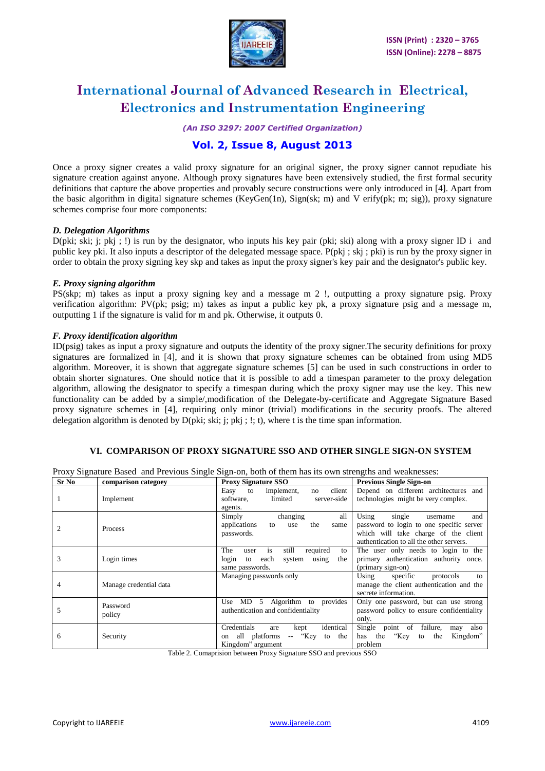

*(An ISO 3297: 2007 Certified Organization)*

### **Vol. 2, Issue 8, August 2013**

Once a proxy signer creates a valid proxy signature for an original signer, the proxy signer cannot repudiate his signature creation against anyone. Although proxy signatures have been extensively studied, the first formal security definitions that capture the above properties and provably secure constructions were only introduced in [4]. Apart from the basic algorithm in digital signature schemes (KeyGen(1n), Sign(sk; m) and V erify(pk; m; sig)), proxy signature schemes comprise four more components:

#### *D. Delegation Algorithms*

D(pki; ski; j; pkj; !) is run by the designator, who inputs his key pair (pki; ski) along with a proxy signer ID i and public key pki. It also inputs a descriptor of the delegated message space. P(pkj ; skj ; pki) is run by the proxy signer in order to obtain the proxy signing key skp and takes as input the proxy signer's key pair and the designator's public key.

#### *E. Proxy signing algorithm*

PS(skp; m) takes as input a proxy signing key and a message m 2 !, outputting a proxy signature psig. Proxy verification algorithm: PV(pk; psig; m) takes as input a public key pk, a proxy signature psig and a message m, outputting 1 if the signature is valid for m and pk. Otherwise, it outputs 0.

#### *F. Proxy identification algorithm*

ID(psig) takes as input a proxy signature and outputs the identity of the proxy signer.The security definitions for proxy signatures are formalized in [4], and it is shown that proxy signature schemes can be obtained from using MD5 algorithm. Moreover, it is shown that aggregate signature schemes [5] can be used in such constructions in order to obtain shorter signatures. One should notice that it is possible to add a timespan parameter to the proxy delegation algorithm, allowing the designator to specify a timespan during which the proxy signer may use the key. This new functionality can be added by a simple/,modification of the Delegate-by-certificate and Aggregate Signature Based proxy signature schemes in [4], requiring only minor (trivial) modifications in the security proofs. The altered delegation algorithm is denoted by D(pki; ski; j; pkj ; !; t), where t is the time span information.

#### **VI. COMPARISON OF PROXY SIGNATURE SSO AND OTHER SINGLE SIGN-ON SYSTEM**

Proxy Signature Based and Previous Single Sign-on, both of them has its own strengths and weaknesses:

| Sr No | comparison categoey    | <b>Proxy Signature SSO</b>                                                                                       | <b>Previous Single Sign-on</b>                                                                                                                                     |
|-------|------------------------|------------------------------------------------------------------------------------------------------------------|--------------------------------------------------------------------------------------------------------------------------------------------------------------------|
|       | Implement              | client<br>implement,<br>Easy<br>to<br>no<br>limited<br>server-side<br>software.<br>agents.                       | Depend on different architectures and<br>technologies might be very complex.                                                                                       |
|       | <b>Process</b>         | changing<br>all<br>Simply<br>applications<br>the<br>to<br>same<br>use<br>passwords.                              | Using<br>single<br>and<br>username<br>password to login to one specific server<br>which will take charge of the client<br>authentication to all the other servers. |
| 3     | Login times            | required<br>is<br>The<br>still<br>user<br>to<br>using<br>the<br>login<br>each<br>system<br>to<br>same passwords. | The user only needs to login to the<br>primary authentication authority once.<br>(primary sign-on)                                                                 |
| 4     | Manage credential data | Managing passwords only                                                                                          | Using<br>specific<br>protocols<br>to<br>manage the client authentication and the<br>secrete information.                                                           |
| 5     | Password<br>policy     | Algorithm to provides<br>5<br>Use MD<br>authentication and confidentiality                                       | Only one password, but can use strong<br>password policy to ensure confidentiality<br>only.                                                                        |
| 6     | Security               | Credentials<br>identical<br>kept<br>are<br>-- "Key<br>all platforms<br>to the<br>on<br>Kingdom" argument         | Single point of<br>failure,<br>also<br>may<br>has the<br>"Key<br>the<br>Kingdom"<br>to<br>problem                                                                  |

Table 2. Comaprision between Proxy Signature SSO and previous SSO